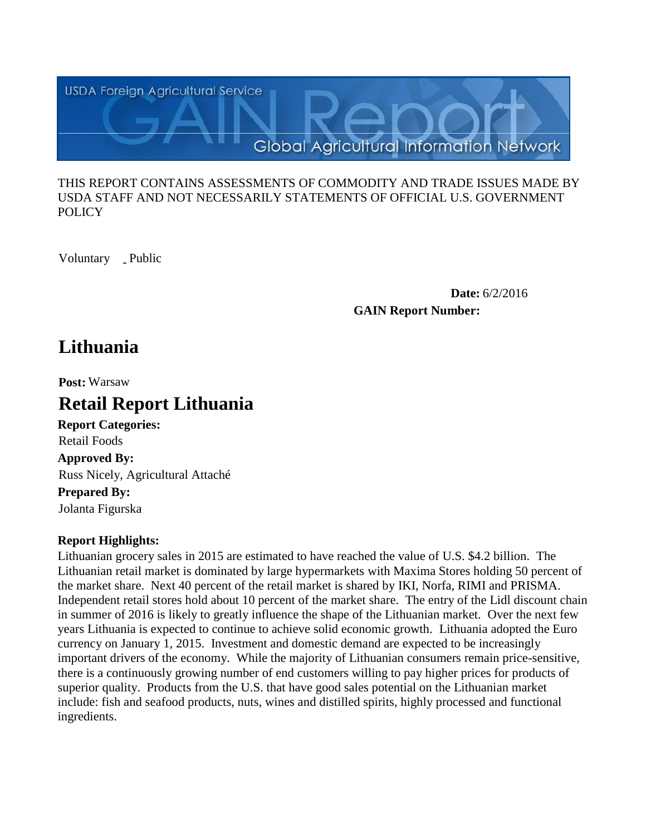

#### THIS REPORT CONTAINS ASSESSMENTS OF COMMODITY AND TRADE ISSUES MADE BY USDA STAFF AND NOT NECESSARILY STATEMENTS OF OFFICIAL U.S. GOVERNMENT POLICY

Voluntary \_ Public

**Date:** 6/2/2016 **GAIN Report Number:**

# **Lithuania**

**Post:** Warsaw

# **Retail Report Lithuania**

**Report Categories: Approved By: Prepared By:**  Russ Nicely, Agricultural Attaché Retail Foods

Jolanta Figurska

# **Report Highlights:**

Lithuanian grocery sales in 2015 are estimated to have reached the value of U.S. \$4.2 billion. The Lithuanian retail market is dominated by large hypermarkets with Maxima Stores holding 50 percent of the market share. Next 40 percent of the retail market is shared by IKI, Norfa, RIMI and PRISMA. Independent retail stores hold about 10 percent of the market share. The entry of the Lidl discount chain in summer of 2016 is likely to greatly influence the shape of the Lithuanian market. Over the next few years Lithuania is expected to continue to achieve solid economic growth. Lithuania adopted the Euro currency on January 1, 2015. Investment and domestic demand are expected to be increasingly important drivers of the economy. While the majority of Lithuanian consumers remain price-sensitive, there is a continuously growing number of end customers willing to pay higher prices for products of superior quality. Products from the U.S. that have good sales potential on the Lithuanian market include: fish and seafood products, nuts, wines and distilled spirits, highly processed and functional ingredients.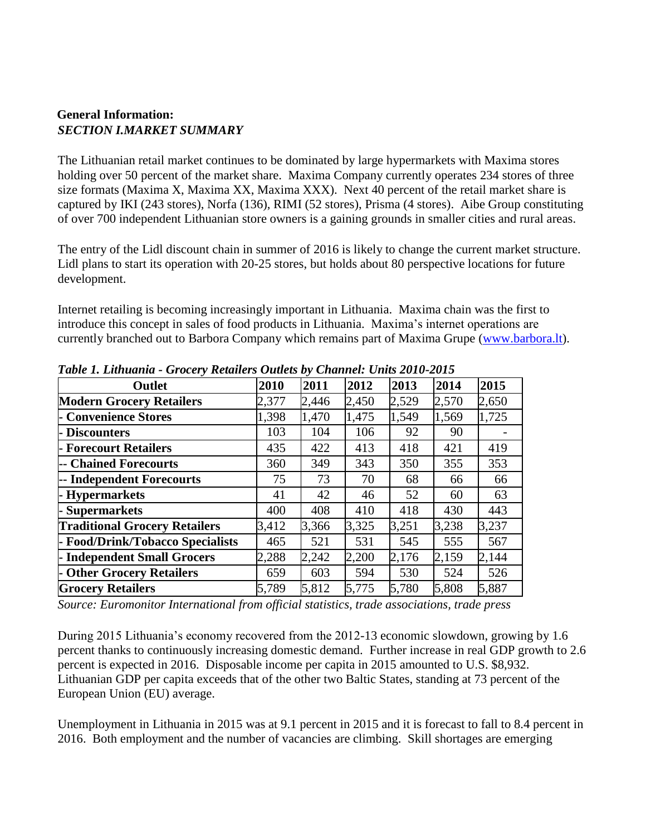### **General Information:**  *SECTION I.MARKET SUMMARY*

The Lithuanian retail market continues to be dominated by large hypermarkets with Maxima stores holding over 50 percent of the market share. Maxima Company currently operates 234 stores of three size formats (Maxima X, Maxima XX, Maxima XXX). Next 40 percent of the retail market share is captured by IKI (243 stores), Norfa (136), RIMI (52 stores), Prisma (4 stores). Aibe Group constituting of over 700 independent Lithuanian store owners is a gaining grounds in smaller cities and rural areas.

The entry of the Lidl discount chain in summer of 2016 is likely to change the current market structure. Lidl plans to start its operation with 20-25 stores, but holds about 80 perspective locations for future development.

Internet retailing is becoming increasingly important in Lithuania. Maxima chain was the first to introduce this concept in sales of food products in Lithuania. Maxima's internet operations are currently branched out to Barbora Company which remains part of Maxima Grupe [\(www.barbora.lt\)](http://www.barbora.lt/).

| Twee It Emmanual Stockty Retainers Outlets by Chambers Chas 2010 2010 |       |       |       |       |       |       |  |  |
|-----------------------------------------------------------------------|-------|-------|-------|-------|-------|-------|--|--|
| <b>Outlet</b>                                                         | 2010  | 2011  | 2012  | 2013  | 2014  | 2015  |  |  |
| <b>Modern Grocery Retailers</b>                                       | 2,377 | 2,446 | 2,450 | 2,529 | 2,570 | 2,650 |  |  |
| - Convenience Stores                                                  | 1,398 | 1,470 | 1,475 | 1,549 | 1,569 | 1,725 |  |  |
| - Discounters                                                         | 103   | 104   | 106   | 92    | 90    |       |  |  |
| - Forecourt Retailers                                                 | 435   | 422   | 413   | 418   | 421   | 419   |  |  |
| -- Chained Forecourts                                                 | 360   | 349   | 343   | 350   | 355   | 353   |  |  |
| -- Independent Forecourts                                             | 75    | 73    | 70    | 68    | 66    | 66    |  |  |
| - Hypermarkets                                                        | 41    | 42    | 46    | 52    | 60    | 63    |  |  |
| - Supermarkets                                                        | 400   | 408   | 410   | 418   | 430   | 443   |  |  |
| <b>Traditional Grocery Retailers</b>                                  | 3,412 | 3,366 | 3,325 | 3,251 | 3,238 | 3,237 |  |  |
| - Food/Drink/Tobacco Specialists                                      | 465   | 521   | 531   | 545   | 555   | 567   |  |  |
| - Independent Small Grocers                                           | 2,288 | 2,242 | 2,200 | 2,176 | 2,159 | 2,144 |  |  |
| - Other Grocery Retailers                                             | 659   | 603   | 594   | 530   | 524   | 526   |  |  |
| <b>Grocery Retailers</b>                                              | 5,789 | 5,812 | 5,775 | 5,780 | 5,808 | 5,887 |  |  |

*Table 1. Lithuania - Grocery Retailers Outlets by Channel: Units 2010-2015*

*Source: Euromonitor International from official statistics, trade associations, trade press*

During 2015 Lithuania's economy recovered from the 2012-13 economic slowdown, growing by 1.6 percent thanks to continuously increasing domestic demand. Further increase in real GDP growth to 2.6 percent is expected in 2016. Disposable income per capita in 2015 amounted to U.S. \$8,932. Lithuanian GDP per capita exceeds that of the other two Baltic States, standing at 73 percent of the European Union (EU) average.

Unemployment in Lithuania in 2015 was at 9.1 percent in 2015 and it is forecast to fall to 8.4 percent in 2016. Both employment and the number of vacancies are climbing. Skill shortages are emerging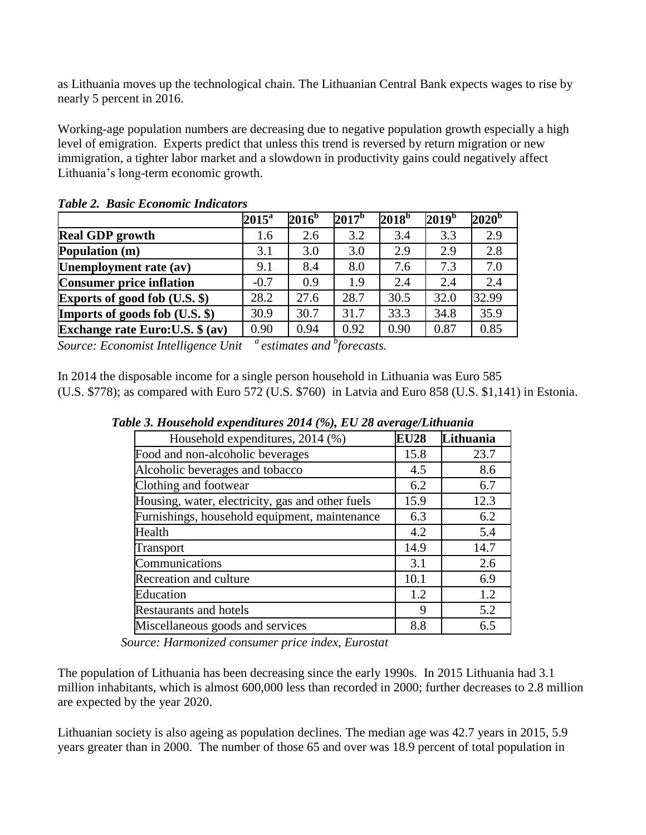as Lithuania moves up the technological chain. The Lithuanian Central Bank expects wages to rise by nearly 5 percent in 2016.

Working-age population numbers are decreasing due to negative population growth especially a high level of emigration. Experts predict that unless this trend is reversed by return migration or new immigration, a tighter labor market and a slowdown in productivity gains could negatively affect Lithuania's long-term economic growth.

|                                         | $2015^{\mathrm{a}}$ | 2016 <sup>b</sup> | $2017^b$ | 2018 <sup>b</sup> | 2019 <sup>b</sup> | $2020^{\rm b}$ |
|-----------------------------------------|---------------------|-------------------|----------|-------------------|-------------------|----------------|
| <b>Real GDP</b> growth                  | 1.6                 | 2.6               | 3.2      | 3.4               | 3.3               | 2.9            |
| Population (m)                          | 3.1                 | 3.0               | 3.0      | 2.9               | 2.9               | 2.8            |
| Unemployment rate (av)                  | 9.1                 | 8.4               | 8.0      | 7.6               | 7.3               | 7.0            |
| <b>Consumer price inflation</b>         | $-0.7$              | 0.9               | 1.9      | 2.4               | 2.4               | 2.4            |
| <b>Exports of good fob (U.S. \$)</b>    | 28.2                | 27.6              | 28.7     | 30.5              | 32.0              | 32.99          |
| Imports of goods fob (U.S. \$)          | 30.9                | 30.7              | 31.7     | 33.3              | 34.8              | 35.9           |
| <b>Exchange rate Euro: U.S. \$ (av)</b> | 0.90                | 0.94              | 0.92     | 0.90              | 0.87              | 0.85           |

*Table 2. Basic Economic Indicators* 

*Source: Economist Intelligence Unit <sup>a</sup>estimates and <sup>b</sup> forecasts.*

In 2014 the disposable income for a single person household in Lithuania was Euro 585 (U.S. \$778); as compared with Euro 572 (U.S. \$760) in Latvia and Euro 858 (U.S. \$1,141) in Estonia.

| Household expenditures, 2014 (%)                 | <b>EU28</b> | Lithuania |
|--------------------------------------------------|-------------|-----------|
| Food and non-alcoholic beverages                 | 15.8        | 23.7      |
| Alcoholic beverages and tobacco                  | 4.5         | 8.6       |
| Clothing and footwear                            | 6.2         | 6.7       |
| Housing, water, electricity, gas and other fuels | 15.9        | 12.3      |
| Furnishings, household equipment, maintenance    | 6.3         | 6.2       |
| Health                                           | 4.2         | 5.4       |
| Transport                                        | 14.9        | 14.7      |
| Communications                                   | 3.1         | 2.6       |
| Recreation and culture                           | 10.1        | 6.9       |
| Education                                        | 1.2         | 1.2       |
| <b>Restaurants and hotels</b>                    | 9           | 5.2       |
| Miscellaneous goods and services                 | 8.8         | 6.5       |

 *Table 3. Household expenditures 2014 (%), EU 28 average/Lithuania*

 *Source: Harmonized consumer price index, Eurostat*

The population of Lithuania has been decreasing since the early 1990s. In 2015 Lithuania had 3.1 million inhabitants, which is almost 600,000 less than recorded in 2000; further decreases to 2.8 million are expected by the year 2020.

Lithuanian society is also ageing as population declines. The median age was 42.7 years in 2015, 5.9 years greater than in 2000. The number of those 65 and over was 18.9 percent of total population in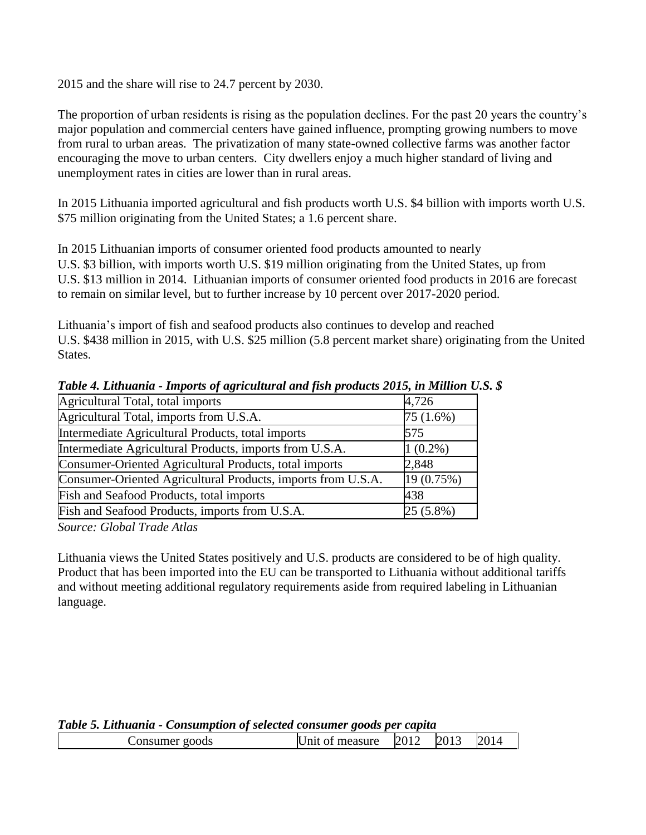2015 and the share will rise to 24.7 percent by 2030.

The proportion of urban residents is rising as the population declines. For the past 20 years the country's major population and commercial centers have gained influence, prompting growing numbers to move from rural to urban areas. The privatization of many state-owned collective farms was another factor encouraging the move to urban centers. City dwellers enjoy a much higher standard of living and unemployment rates in cities are lower than in rural areas.

In 2015 Lithuania imported agricultural and fish products worth U.S. \$4 billion with imports worth U.S. \$75 million originating from the United States; a 1.6 percent share.

In 2015 Lithuanian imports of consumer oriented food products amounted to nearly U.S. \$3 billion, with imports worth U.S. \$19 million originating from the United States, up from U.S. \$13 million in 2014. Lithuanian imports of consumer oriented food products in 2016 are forecast to remain on similar level, but to further increase by 10 percent over 2017-2020 period.

Lithuania's import of fish and seafood products also continues to develop and reached U.S. \$438 million in 2015, with U.S. \$25 million (5.8 percent market share) originating from the United States.

| Agricultural Total, total imports                            | 4,726      |
|--------------------------------------------------------------|------------|
| Agricultural Total, imports from U.S.A.                      | 75 (1.6%)  |
| Intermediate Agricultural Products, total imports            | 575        |
| Intermediate Agricultural Products, imports from U.S.A.      | $1(0.2\%)$ |
| Consumer-Oriented Agricultural Products, total imports       | 2,848      |
| Consumer-Oriented Agricultural Products, imports from U.S.A. | 19 (0.75%) |
| Fish and Seafood Products, total imports                     | 438        |
| Fish and Seafood Products, imports from U.S.A.               | 25 (5.8%)  |

*Table 4. Lithuania - Imports of agricultural and fish products 2015, in Million U.S. \$*

*Source: Global Trade Atlas*

Lithuania views the United States positively and U.S. products are considered to be of high quality. Product that has been imported into the EU can be transported to Lithuania without additional tariffs and without meeting additional regulatory requirements aside from required labeling in Lithuanian language.

|  |  | Table 5. Lithuania - Consumption of selected consumer goods per capita |  |  |
|--|--|------------------------------------------------------------------------|--|--|
|  |  |                                                                        |  |  |

| Consumer goods |  | 2014 |
|----------------|--|------|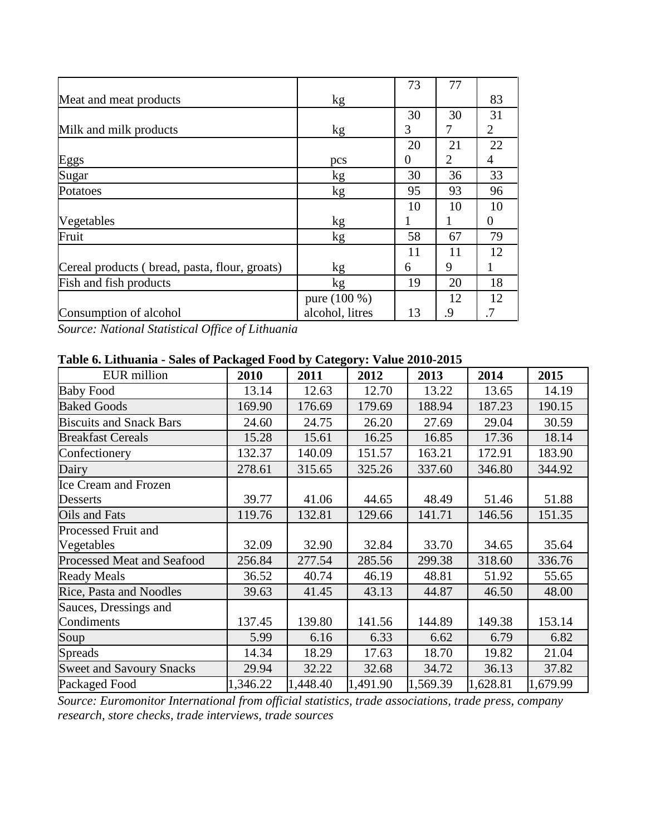|                                               |                 | 73       | 77 |    |
|-----------------------------------------------|-----------------|----------|----|----|
| Meat and meat products                        | kg              |          |    | 83 |
|                                               |                 | 30       | 30 | 31 |
| Milk and milk products                        | kg              | 3        | 7  | 2  |
|                                               |                 | 20       | 21 | 22 |
| Eggs                                          | pcs             | $\theta$ | 2  | 4  |
| Sugar                                         | kg              | 30       | 36 | 33 |
| Potatoes                                      | kg              | 95       | 93 | 96 |
|                                               |                 | 10       | 10 | 10 |
| Vegetables                                    | kg              | 1        |    | 0  |
| Fruit                                         | kg              | 58       | 67 | 79 |
|                                               |                 | 11       | 11 | 12 |
| Cereal products (bread, pasta, flour, groats) | kg              | 6        | 9  |    |
| Fish and fish products                        | kg              | 19       | 20 | 18 |
|                                               | pure (100 %)    |          | 12 | 12 |
| Consumption of alcohol                        | alcohol, litres | 13       | .9 | .7 |

*Source: National Statistical Office of Lithuania*

# **Table 6. Lithuania - Sales of Packaged Food by Category: Value 2010-2015**

| <b>EUR</b> million                | 2010     | 2011     | 2012     | 2013     | 2014     | 2015     |
|-----------------------------------|----------|----------|----------|----------|----------|----------|
| <b>Baby Food</b>                  | 13.14    | 12.63    | 12.70    | 13.22    | 13.65    | 14.19    |
| <b>Baked Goods</b>                | 169.90   | 176.69   | 179.69   | 188.94   | 187.23   | 190.15   |
| <b>Biscuits and Snack Bars</b>    | 24.60    | 24.75    | 26.20    | 27.69    | 29.04    | 30.59    |
| <b>Breakfast Cereals</b>          | 15.28    | 15.61    | 16.25    | 16.85    | 17.36    | 18.14    |
| Confectionery                     | 132.37   | 140.09   | 151.57   | 163.21   | 172.91   | 183.90   |
| Dairy                             | 278.61   | 315.65   | 325.26   | 337.60   | 346.80   | 344.92   |
| <b>Ice Cream and Frozen</b>       |          |          |          |          |          |          |
| Desserts                          | 39.77    | 41.06    | 44.65    | 48.49    | 51.46    | 51.88    |
| Oils and Fats                     | 119.76   | 132.81   | 129.66   | 141.71   | 146.56   | 151.35   |
| <b>Processed Fruit and</b>        |          |          |          |          |          |          |
| Vegetables                        | 32.09    | 32.90    | 32.84    | 33.70    | 34.65    | 35.64    |
| <b>Processed Meat and Seafood</b> | 256.84   | 277.54   | 285.56   | 299.38   | 318.60   | 336.76   |
| <b>Ready Meals</b>                | 36.52    | 40.74    | 46.19    | 48.81    | 51.92    | 55.65    |
| Rice, Pasta and Noodles           | 39.63    | 41.45    | 43.13    | 44.87    | 46.50    | 48.00    |
| Sauces, Dressings and             |          |          |          |          |          |          |
| Condiments                        | 137.45   | 139.80   | 141.56   | 144.89   | 149.38   | 153.14   |
| Soup                              | 5.99     | 6.16     | 6.33     | 6.62     | 6.79     | 6.82     |
| <b>Spreads</b>                    | 14.34    | 18.29    | 17.63    | 18.70    | 19.82    | 21.04    |
| <b>Sweet and Savoury Snacks</b>   | 29.94    | 32.22    | 32.68    | 34.72    | 36.13    | 37.82    |
| Packaged Food                     | 1,346.22 | 1,448.40 | 1,491.90 | 1,569.39 | 1,628.81 | 1,679.99 |

*Source: Euromonitor International from official statistics, trade associations, trade press, company research, store checks, trade interviews, trade sources*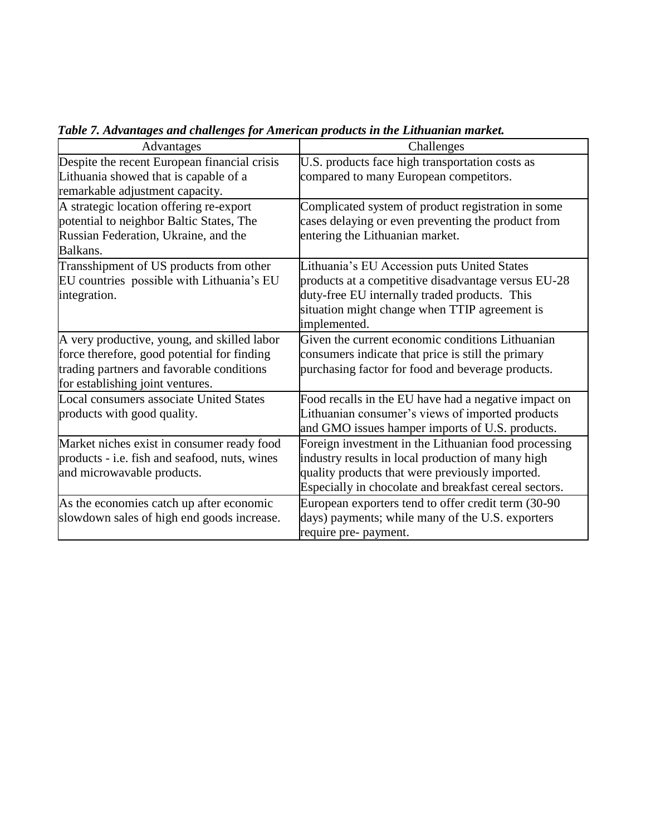| Advantages                                     | Challenges                                            |
|------------------------------------------------|-------------------------------------------------------|
| Despite the recent European financial crisis   | U.S. products face high transportation costs as       |
| Lithuania showed that is capable of a          | compared to many European competitors.                |
| remarkable adjustment capacity.                |                                                       |
| A strategic location offering re-export        | Complicated system of product registration in some    |
| potential to neighbor Baltic States, The       | cases delaying or even preventing the product from    |
| Russian Federation, Ukraine, and the           | entering the Lithuanian market.                       |
| Balkans.                                       |                                                       |
| Transshipment of US products from other        | Lithuania's EU Accession puts United States           |
| EU countries possible with Lithuania's EU      | products at a competitive disadvantage versus EU-28   |
| integration.                                   | duty-free EU internally traded products. This         |
|                                                | situation might change when TTIP agreement is         |
|                                                | implemented.                                          |
| A very productive, young, and skilled labor    | Given the current economic conditions Lithuanian      |
| force therefore, good potential for finding    | consumers indicate that price is still the primary    |
| trading partners and favorable conditions      | purchasing factor for food and beverage products.     |
| for establishing joint ventures.               |                                                       |
| <b>Local consumers associate United States</b> | Food recalls in the EU have had a negative impact on  |
| products with good quality.                    | Lithuanian consumer's views of imported products      |
|                                                | and GMO issues hamper imports of U.S. products.       |
| Market niches exist in consumer ready food     | Foreign investment in the Lithuanian food processing  |
| products - i.e. fish and seafood, nuts, wines  | industry results in local production of many high     |
| and microwavable products.                     | quality products that were previously imported.       |
|                                                | Especially in chocolate and breakfast cereal sectors. |
| As the economies catch up after economic       | European exporters tend to offer credit term (30-90   |
| slowdown sales of high end goods increase.     | days) payments; while many of the U.S. exporters      |
|                                                | require pre- payment.                                 |

*Table 7. Advantages and challenges for American products in the Lithuanian market.*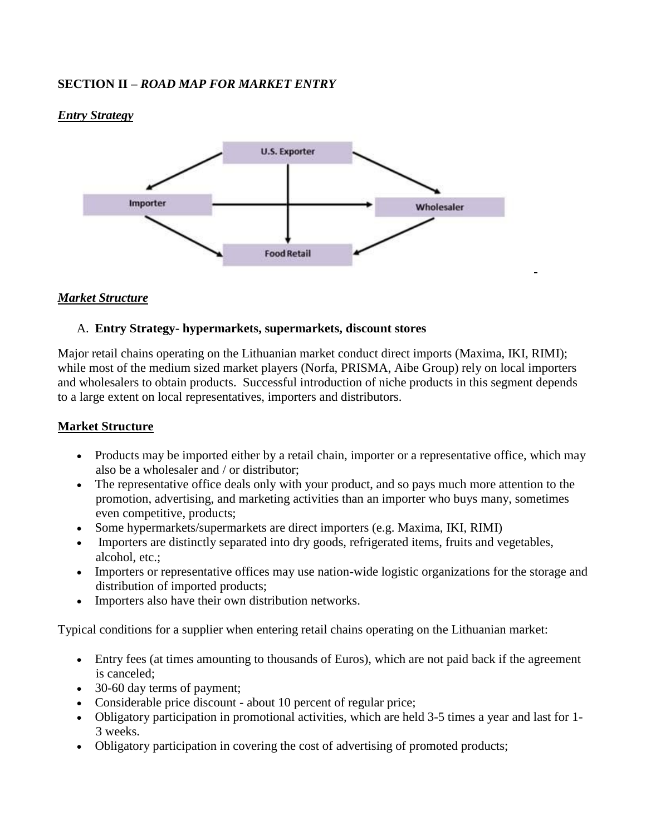# **SECTION II –** *ROAD MAP FOR MARKET ENTRY*

#### *Entry Strategy*



### *Market Structure*

#### A. **Entry Strategy- hypermarkets, supermarkets, discount stores**

Major retail chains operating on the Lithuanian market conduct direct imports (Maxima, IKI, RIMI); while most of the medium sized market players (Norfa, PRISMA, Aibe Group) rely on local importers and wholesalers to obtain products. Successful introduction of niche products in this segment depends to a large extent on local representatives, importers and distributors.

#### **Market Structure**

- Products may be imported either by a retail chain, importer or a representative office, which may also be a wholesaler and / or distributor;
- The representative office deals only with your product, and so pays much more attention to the promotion, advertising, and marketing activities than an importer who buys many, sometimes even competitive, products;
- Some hypermarkets/supermarkets are direct importers (e.g. Maxima, IKI, RIMI)
- Importers are distinctly separated into dry goods, refrigerated items, fruits and vegetables, alcohol, etc.;
- Importers or representative offices may use nation-wide logistic organizations for the storage and distribution of imported products;
- Importers also have their own distribution networks.

Typical conditions for a supplier when entering retail chains operating on the Lithuanian market:

- Entry fees (at times amounting to thousands of Euros), which are not paid back if the agreement is canceled;
- 30-60 day terms of payment;
- Considerable price discount about 10 percent of regular price;
- Obligatory participation in promotional activities, which are held 3-5 times a year and last for 1- 3 weeks.
- Obligatory participation in covering the cost of advertising of promoted products;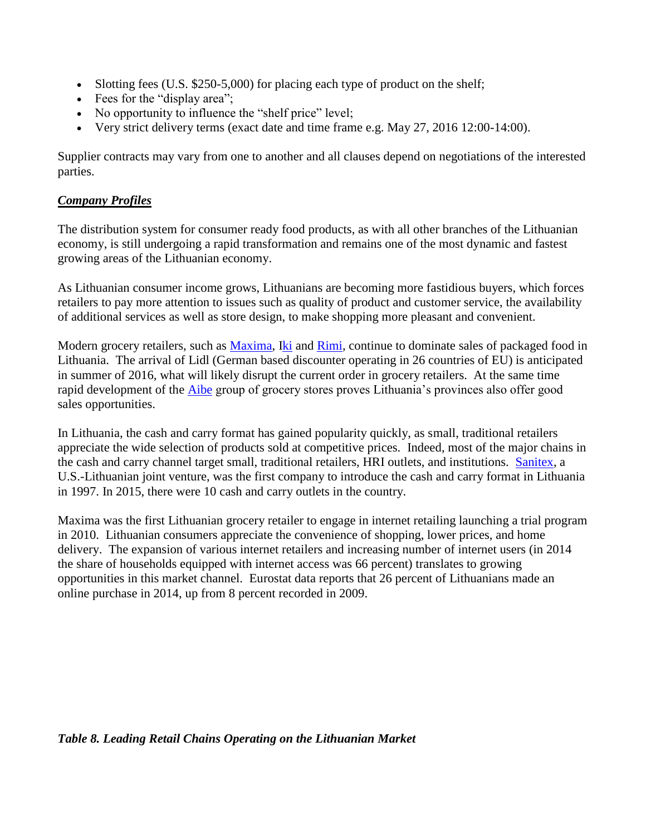- Slotting fees (U.S. \$250-5,000) for placing each type of product on the shelf;
- Fees for the "display area";
- No opportunity to influence the "shelf price" level;
- Very strict delivery terms (exact date and time frame e.g. May 27, 2016 12:00-14:00).

Supplier contracts may vary from one to another and all clauses depend on negotiations of the interested parties.

## *Company Profiles*

The distribution system for consumer ready food products, as with all other branches of the Lithuanian economy, is still undergoing a rapid transformation and remains one of the most dynamic and fastest growing areas of the Lithuanian economy.

As Lithuanian consumer income grows, Lithuanians are becoming more fastidious buyers, which forces retailers to pay more attention to issues such as quality of product and customer service, the availability of additional services as well as store design, to make shopping more pleasant and convenient.

Modern grocery retailers, such as [Maxima,](https://www.maxima.lt/en) [Iki](http://www.iki.lt/) and [Rimi,](http://www.rimi.lt/) continue to dominate sales of packaged food in Lithuania. The arrival of Lidl (German based discounter operating in 26 countries of EU) is anticipated in summer of 2016, what will likely disrupt the current order in grocery retailers. At the same time rapid development of the [Aibe](http://www.aibe.lt/) group of grocery stores proves Lithuania's provinces also offer good sales opportunities.

In Lithuania, the cash and carry format has gained popularity quickly, as small, traditional retailers appreciate the wide selection of products sold at competitive prices. Indeed, most of the major chains in the cash and carry channel target small, traditional retailers, HRI outlets, and institutions. [Sanitex,](http://www.sanitex.eu/products/0-s-s-s/?lang=1&plid=436) a U.S.-Lithuanian joint venture, was the first company to introduce the cash and carry format in Lithuania in 1997. In 2015, there were 10 cash and carry outlets in the country.

Maxima was the first Lithuanian grocery retailer to engage in internet retailing launching a trial program in 2010. Lithuanian consumers appreciate the convenience of shopping, lower prices, and home delivery. The expansion of various internet retailers and increasing number of internet users (in 2014 the share of households equipped with internet access was 66 percent) translates to growing opportunities in this market channel. Eurostat data reports that 26 percent of Lithuanians made an online purchase in 2014, up from 8 percent recorded in 2009.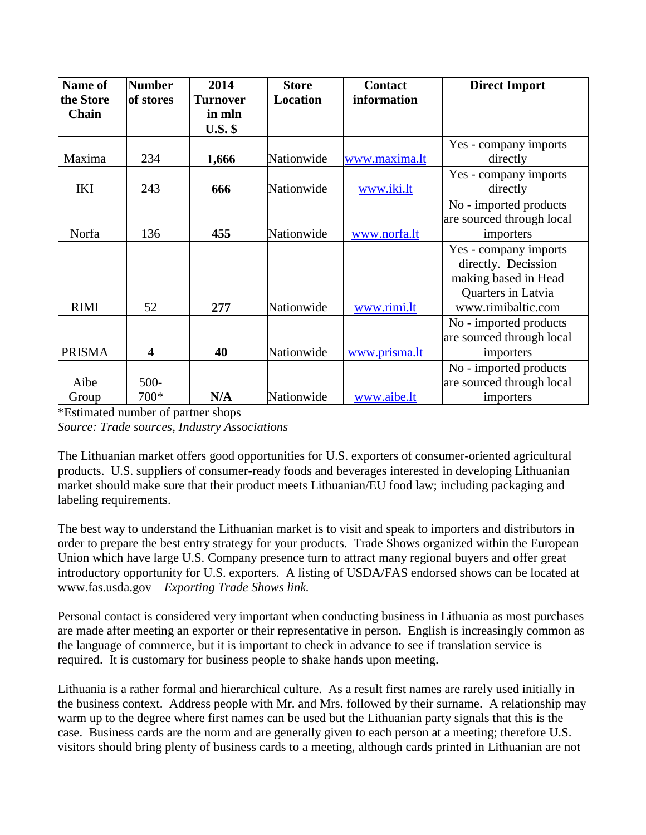| Name of       | <b>Number</b>  | 2014            | <b>Store</b>    | <b>Contact</b> | <b>Direct Import</b>      |
|---------------|----------------|-----------------|-----------------|----------------|---------------------------|
| the Store     | of stores      | <b>Turnover</b> | <b>Location</b> | information    |                           |
| Chain         |                | in mln          |                 |                |                           |
|               |                | <b>U.S. \$</b>  |                 |                |                           |
|               |                |                 |                 |                | Yes - company imports     |
| Maxima        | 234            | 1,666           | Nationwide      | www.maxima.lt  | directly                  |
|               |                |                 |                 |                | Yes - company imports     |
| <b>IKI</b>    | 243            | 666             | Nationwide      | www.iki.lt     | directly                  |
|               |                |                 |                 |                | No - imported products    |
|               |                |                 |                 |                | are sourced through local |
| Norfa         | 136            | 455             | Nationwide      | www.norfa.lt   | importers                 |
|               |                |                 |                 |                | Yes - company imports     |
|               |                |                 |                 |                | directly. Decission       |
|               |                |                 |                 |                | making based in Head      |
|               |                |                 |                 |                | Quarters in Latvia        |
| <b>RIMI</b>   | 52             | 277             | Nationwide      | www.rimi.lt    | www.rimibaltic.com        |
|               |                |                 |                 |                | No - imported products    |
|               |                |                 |                 |                | are sourced through local |
| <b>PRISMA</b> | $\overline{4}$ | 40              | Nationwide      | www.prisma.lt  | importers                 |
|               |                |                 |                 |                | No - imported products    |
| Aibe          | $500 -$        |                 |                 |                | are sourced through local |
| Group         | $700*$         | N/A             | Nationwide      | www.aibe.lt    | importers                 |

\*Estimated number of partner shops *Source: Trade sources, Industry Associations*

The Lithuanian market offers good opportunities for U.S. exporters of consumer-oriented agricultural products. U.S. suppliers of consumer-ready foods and beverages interested in developing Lithuanian market should make sure that their product meets Lithuanian/EU food law; including packaging and labeling requirements.

The best way to understand the Lithuanian market is to visit and speak to importers and distributors in order to prepare the best entry strategy for your products. Trade Shows organized within the European Union which have large U.S. Company presence turn to attract many regional buyers and offer great introductory opportunity for U.S. exporters. A listing of USDA/FAS endorsed shows can be located at [www.fas.usda.gov](http://www.fas.usda.gov/) – *[Exporting Trade Shows link.](http://www.fas.usda.gov/international-trade-shows-2016)*

Personal contact is considered very important when conducting business in Lithuania as most purchases are made after meeting an exporter or their representative in person. English is increasingly common as the language of commerce, but it is important to check in advance to see if translation service is required. It is customary for business people to shake hands upon meeting.

Lithuania is a rather formal and hierarchical culture. As a result first names are rarely used initially in the business context. Address people with Mr. and Mrs. followed by their surname. A relationship may warm up to the degree where first names can be used but the Lithuanian party signals that this is the case. Business cards are the norm and are generally given to each person at a meeting; therefore U.S. visitors should bring plenty of business cards to a meeting, although cards printed in Lithuanian are not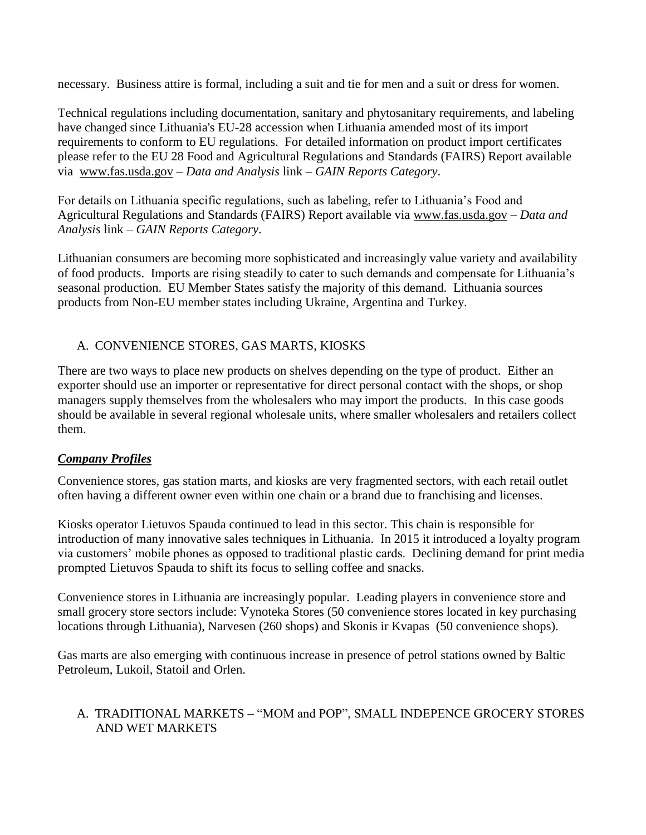necessary. Business attire is formal, including a suit and tie for men and a suit or dress for women.

Technical regulations including documentation, sanitary and phytosanitary requirements, and labeling have changed since Lithuania's EU-28 accession when Lithuania amended most of its import requirements to conform to EU regulations. For detailed information on product import certificates please refer to the EU 28 Food and Agricultural Regulations and Standards (FAIRS) Report available via [www.fas.usda.gov](http://www.fas.usda.gov/) – *Data and Analysis* link *– GAIN Reports Category*.

For details on Lithuania specific regulations, such as labeling, refer to Lithuania's Food and Agricultural Regulations and Standards (FAIRS) Report available via [www.fas.usda.gov](http://www.fas.usda.gov/) – *Data and Analysis* link *– GAIN Reports Category*.

Lithuanian consumers are becoming more sophisticated and increasingly value variety and availability of food products. Imports are rising steadily to cater to such demands and compensate for Lithuania's seasonal production. EU Member States satisfy the majority of this demand. Lithuania sources products from Non-EU member states including Ukraine, Argentina and Turkey.

# A. CONVENIENCE STORES, GAS MARTS, KIOSKS

There are two ways to place new products on shelves depending on the type of product. Either an exporter should use an importer or representative for direct personal contact with the shops, or shop managers supply themselves from the wholesalers who may import the products. In this case goods should be available in several regional wholesale units, where smaller wholesalers and retailers collect them.

# *Company Profiles*

Convenience stores, gas station marts, and kiosks are very fragmented sectors, with each retail outlet often having a different owner even within one chain or a brand due to franchising and licenses.

Kiosks operator Lietuvos Spauda continued to lead in this sector. This chain is responsible for introduction of many innovative sales techniques in Lithuania. In 2015 it introduced a loyalty program via customers' mobile phones as opposed to traditional plastic cards. Declining demand for print media prompted Lietuvos Spauda to shift its focus to selling coffee and snacks.

Convenience stores in Lithuania are increasingly popular. Leading players in convenience store and small grocery store sectors include: Vynoteka Stores (50 convenience stores located in key purchasing locations through Lithuania), Narvesen (260 shops) and Skonis ir Kvapas (50 convenience shops).

Gas marts are also emerging with continuous increase in presence of petrol stations owned by Baltic Petroleum, Lukoil, Statoil and Orlen.

# A. TRADITIONAL MARKETS – "MOM and POP", SMALL INDEPENCE GROCERY STORES AND WET MARKETS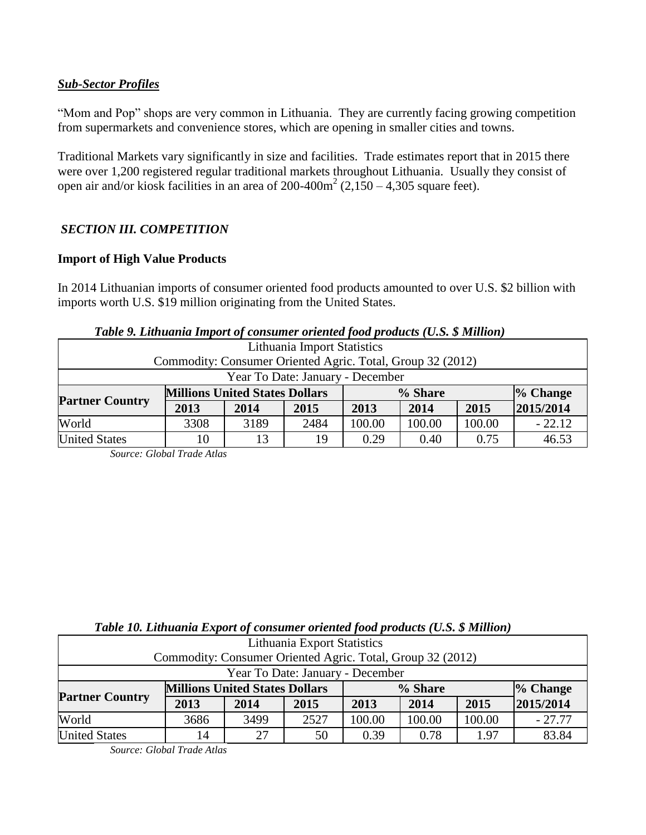# *Sub-Sector Profiles*

"Mom and Pop" shops are very common in Lithuania. They are currently facing growing competition from supermarkets and convenience stores, which are opening in smaller cities and towns.

Traditional Markets vary significantly in size and facilities. Trade estimates report that in 2015 there were over 1,200 registered regular traditional markets throughout Lithuania. Usually they consist of open air and/or kiosk facilities in an area of  $200-400m^2$  (2,150 – 4,305 square feet).

# *SECTION III. COMPETITION*

### **Import of High Value Products**

In 2014 Lithuanian imports of consumer oriented food products amounted to over U.S. \$2 billion with imports worth U.S. \$19 million originating from the United States.

| <b>Table 5. Euniquing Import of Consumer oriented food products (C.S. <math>\phi</math> Mutuon)</b> |                                       |      |      |         |        |        |            |
|-----------------------------------------------------------------------------------------------------|---------------------------------------|------|------|---------|--------|--------|------------|
| Lithuania Import Statistics                                                                         |                                       |      |      |         |        |        |            |
| Commodity: Consumer Oriented Agric. Total, Group 32 (2012)                                          |                                       |      |      |         |        |        |            |
| Year To Date: January - December                                                                    |                                       |      |      |         |        |        |            |
| <b>Partner Country</b>                                                                              | <b>Millions United States Dollars</b> |      |      | % Share |        |        | $%$ Change |
|                                                                                                     | 2013                                  | 2014 | 2015 | 2013    | 2014   | 2015   | 2015/2014  |
| World                                                                                               | 3308                                  | 3189 | 2484 | 100.00  | 100.00 | 100.00 | $-22.12$   |
| <b>United States</b>                                                                                | 10                                    | 13   | 19   | 0.29    | 0.40   | 0.75   | 46.53      |

| Table 9. Lithuania Import of consumer oriented food products (U.S. \$ Million) |  |  |  |  |
|--------------------------------------------------------------------------------|--|--|--|--|
|--------------------------------------------------------------------------------|--|--|--|--|

 *Source: Global Trade Atlas*

| Lithuania Export Statistics                                |                                       |      |      |         |        |        |           |  |
|------------------------------------------------------------|---------------------------------------|------|------|---------|--------|--------|-----------|--|
| Commodity: Consumer Oriented Agric. Total, Group 32 (2012) |                                       |      |      |         |        |        |           |  |
| Year To Date: January - December                           |                                       |      |      |         |        |        |           |  |
| <b>Partner Country</b>                                     | <b>Millions United States Dollars</b> |      |      | % Share |        |        | % Change  |  |
|                                                            | 2013                                  | 2014 | 2015 | 2013    | 2014   | 2015   | 2015/2014 |  |
| World                                                      | 3686                                  | 3499 | 2527 | 100.00  | 100.00 | 100.00 | $-27.77$  |  |
| <b>United States</b>                                       | 14                                    | 27   | 50   | 0.39    | 0.78   | 1.97   | 83.84     |  |

 *Source: Global Trade Atlas*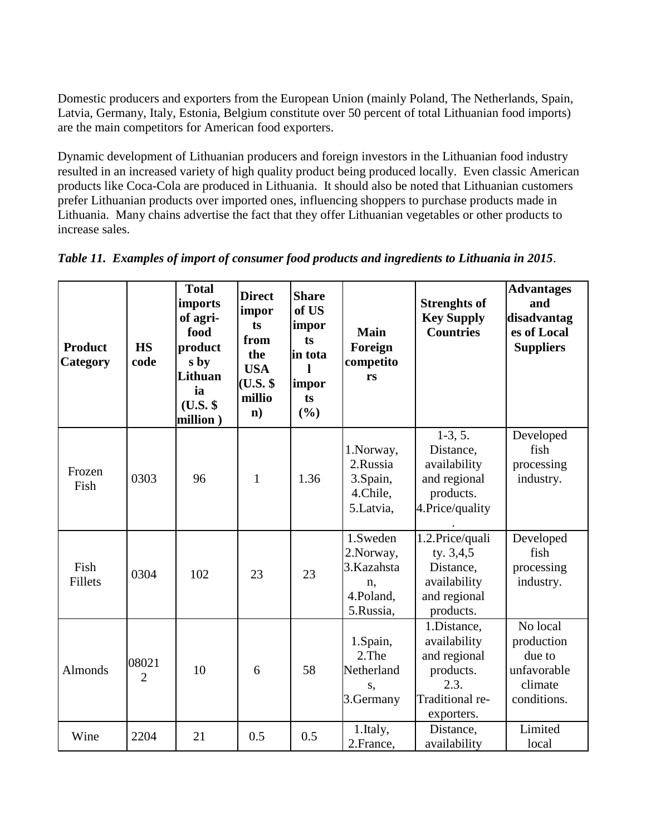Domestic producers and exporters from the European Union (mainly Poland, The Netherlands, Spain, Latvia, Germany, Italy, Estonia, Belgium constitute over 50 percent of total Lithuanian food imports) are the main competitors for American food exporters.

Dynamic development of Lithuanian producers and foreign investors in the Lithuanian food industry resulted in an increased variety of high quality product being produced locally. Even classic American products like Coca-Cola are produced in Lithuania. It should also be noted that Lithuanian customers prefer Lithuanian products over imported ones, influencing shoppers to purchase products made in Lithuania. Many chains advertise the fact that they offer Lithuanian vegetables or other products to increase sales.

| <b>Product</b><br>Category | <b>HS</b><br>code       | <b>Total</b><br>imports<br>of agri-<br>food<br>product<br>s by<br>Lithuan<br>ia<br>$(U.S.$ \$<br>million) | <b>Direct</b><br>impor<br>ts<br>from<br>the<br><b>USA</b><br>$(U.S.$ \$<br>millio<br>$\mathbf{n}$ ) | <b>Share</b><br>of US<br>impor<br>ts<br>in tota<br>impor<br>ts<br>$(\%)$ | <b>Main</b><br>Foreign<br>competito<br>rs                            | <b>Strenghts of</b><br><b>Key Supply</b><br><b>Countries</b>                                      | <b>Advantages</b><br>and<br>disadvantag<br>es of Local<br><b>Suppliers</b> |
|----------------------------|-------------------------|-----------------------------------------------------------------------------------------------------------|-----------------------------------------------------------------------------------------------------|--------------------------------------------------------------------------|----------------------------------------------------------------------|---------------------------------------------------------------------------------------------------|----------------------------------------------------------------------------|
| Frozen<br>Fish             | 0303                    | 96                                                                                                        | $\mathbf{1}$                                                                                        | 1.36                                                                     | 1.Norway,<br>2.Russia<br>3.Spain,<br>4.Chile,<br>5.Latvia,           | $1-3, 5.$<br>Distance,<br>availability<br>and regional<br>products.<br>4. Price/quality           | Developed<br>fish<br>processing<br>industry.                               |
| Fish<br><b>Fillets</b>     | 0304                    | 102                                                                                                       | 23                                                                                                  | 23                                                                       | 1.Sweden<br>2. Norway,<br>3.Kazahsta<br>n,<br>4.Poland,<br>5.Russia, | 1.2. Price/quali<br>ty. 3,4,5<br>Distance,<br>availability<br>and regional<br>products.           | Developed<br>fish<br>processing<br>industry.                               |
| <b>Almonds</b>             | 08021<br>$\overline{2}$ | 10                                                                                                        | 6                                                                                                   | 58                                                                       | 1.Spain,<br>2.The<br>Netherland<br>S,<br>3.Germany                   | 1.Distance,<br>availability<br>and regional<br>products.<br>2.3.<br>Traditional re-<br>exporters. | No local<br>production<br>due to<br>unfavorable<br>climate<br>conditions.  |
| Wine                       | 2204                    | 21                                                                                                        | 0.5                                                                                                 | 0.5                                                                      | 1.Italy,<br>2.France,                                                | Distance,<br>availability                                                                         | Limited<br>local                                                           |

*Table 11. Examples of import of consumer food products and ingredients to Lithuania in 2015*.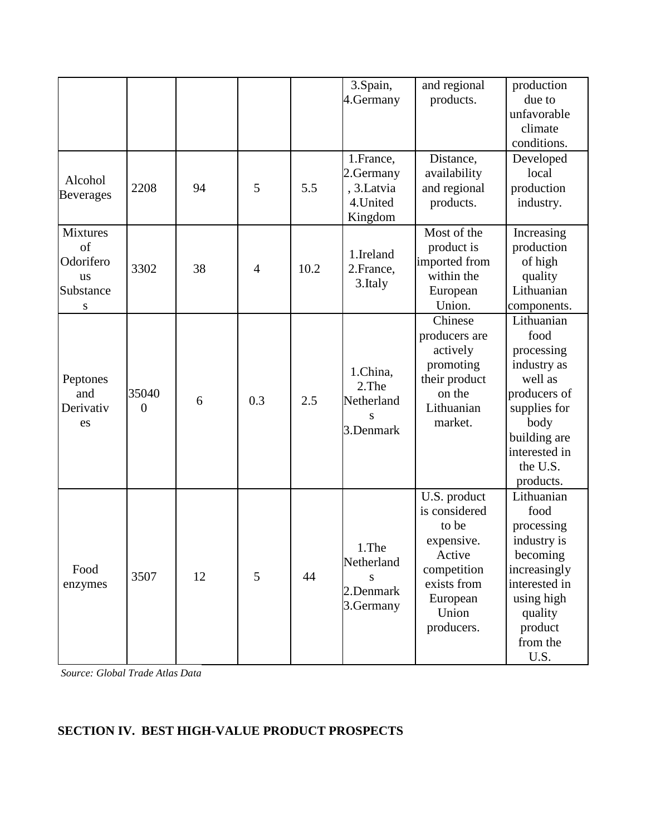|                                                                   |                         |    |                |      | 3.Spain,<br>4.Germany<br>1.France,                 | and regional<br>products.<br>Distance,                                                                                          | production<br>due to<br>unfavorable<br>climate<br>conditions.<br>Developed                                                                                   |
|-------------------------------------------------------------------|-------------------------|----|----------------|------|----------------------------------------------------|---------------------------------------------------------------------------------------------------------------------------------|--------------------------------------------------------------------------------------------------------------------------------------------------------------|
| Alcohol<br><b>Beverages</b>                                       | 2208                    | 94 | 5              | 5.5  | 2.Germany<br>, 3.Latvia<br>4.United<br>Kingdom     | availability<br>and regional<br>products.                                                                                       | local<br>production<br>industry.                                                                                                                             |
| <b>Mixtures</b><br>of<br>Odorifero<br><b>us</b><br>Substance<br>S | 3302                    | 38 | $\overline{4}$ | 10.2 | 1.Ireland<br>2. France,<br>3. Italy                | Most of the<br>product is<br>imported from<br>within the<br>European<br>Union.                                                  | Increasing<br>production<br>of high<br>quality<br>Lithuanian<br>components.                                                                                  |
| Peptones<br>and<br>Derivativ<br>es                                | 35040<br>$\overline{0}$ | 6  | 0.3            | 2.5  | 1.China,<br>2.The<br>Netherland<br>S<br>3.Denmark  | Chinese<br>producers are<br>actively<br>promoting<br>their product<br>on the<br>Lithuanian<br>market.                           | Lithuanian<br>food<br>processing<br>industry as<br>well as<br>producers of<br>supplies for<br>body<br>building are<br>interested in<br>the U.S.<br>products. |
| Food<br>enzymes                                                   | 3507                    | 12 | 5              | 44   | 1.The<br>Netherland<br>S<br>2.Denmark<br>3.Germany | U.S. product<br>is considered<br>to be<br>expensive.<br>Active<br>competition<br>exists from<br>European<br>Union<br>producers. | Lithuanian<br>food<br>processing<br>industry is<br>becoming<br>increasingly<br>interested in<br>using high<br>quality<br>product<br>from the<br>U.S.         |

*Source: Global Trade Atlas Data*

# **SECTION IV. BEST HIGH-VALUE PRODUCT PROSPECTS**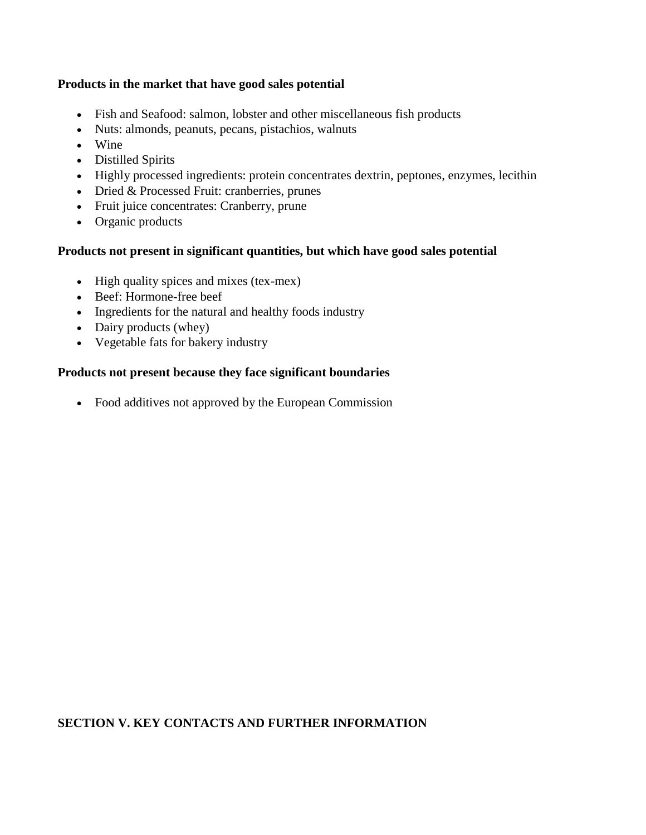### **Products in the market that have good sales potential**

- Fish and Seafood: salmon, lobster and other miscellaneous fish products
- Nuts: almonds, peanuts, pecans, pistachios, walnuts
- Wine
- Distilled Spirits
- Highly processed ingredients: protein concentrates dextrin, peptones, enzymes, lecithin
- Dried & Processed Fruit: cranberries, prunes
- Fruit juice concentrates: Cranberry, prune
- Organic products

#### **Products not present in significant quantities, but which have good sales potential**

- High quality spices and mixes (tex-mex)
- Beef: Hormone-free beef
- Ingredients for the natural and healthy foods industry
- Dairy products (whey)
- Vegetable fats for bakery industry

#### **Products not present because they face significant boundaries**

Food additives not approved by the European Commission

# **SECTION V. KEY CONTACTS AND FURTHER INFORMATION**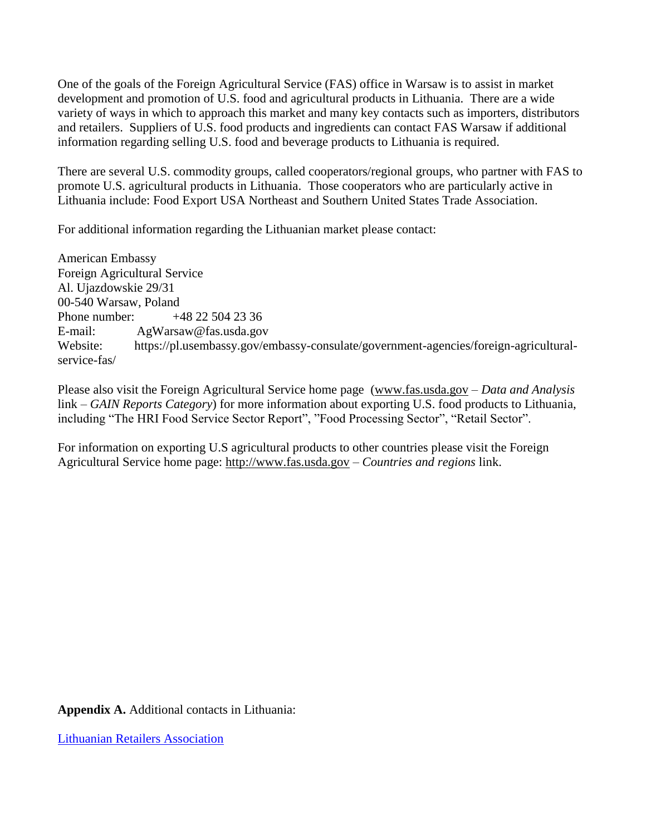One of the goals of the Foreign Agricultural Service (FAS) office in Warsaw is to assist in market development and promotion of U.S. food and agricultural products in Lithuania. There are a wide variety of ways in which to approach this market and many key contacts such as importers, distributors and retailers. Suppliers of U.S. food products and ingredients can contact FAS Warsaw if additional information regarding selling U.S. food and beverage products to Lithuania is required.

There are several U.S. commodity groups, called cooperators/regional groups, who partner with FAS to promote U.S. agricultural products in Lithuania. Those cooperators who are particularly active in Lithuania include: Food Export USA Northeast and [Southern United States Trade Association.](https://www.google.com/url?sa=t&rct=j&q=&esrc=s&source=web&cd=2&cad=rja&uact=8&ved=0ahUKEwiRtqWTt7vMAhVDdT4KHWyjCP8QFggmMAE&url=http://www.susta.org/&usg=AFQjCNEG-SGZLyzo6bS_OzgTdD40Z4XONQ&bvm=bv.121070826,d.dmo)

For additional information regarding the Lithuanian market please contact:

American Embassy Foreign Agricultural Service Al. Ujazdowskie 29/31 00-540 Warsaw, Poland Phone number: +48 22 504 23 36 E-mail: AgWarsaw@fas.usda.gov Website: https://pl.usembassy.gov/embassy-consulate/government-agencies/foreign-agriculturalservice-fas/

Please also visit the Foreign Agricultural Service home page [\(www.fas.usda.gov](http://www.fas.usda.gov/) – *Data and Analysis*  link *– GAIN Reports Category*) for more information about exporting U.S. food products to Lithuania, including "The HRI Food Service Sector Report", "Food Processing Sector", "Retail Sector".

For information on exporting U.S agricultural products to other countries please visit the Foreign Agricultural Service home page: [http://www.fas.usda.gov](http://www.fas.usda.gov/) – *Countries and regions* link.

**Appendix A.** Additional contacts in Lithuania:

[Lithuanian Retailers Association](http://www.lpia.lt/)